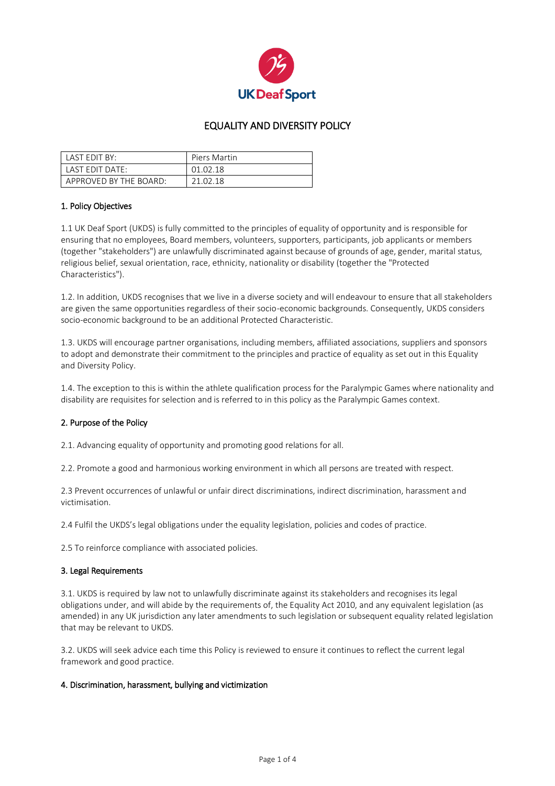

# EQUALITY AND DIVERSITY POLICY

| AST EDIT BY:           | Piers Martin |
|------------------------|--------------|
| LAST FDIT DATE:        | 01 02 18     |
| APPROVED BY THE BOARD: | 21 N2 18     |

### 1. Policy Objectives

1.1 UK Deaf Sport (UKDS) is fully committed to the principles of equality of opportunity and is responsible for ensuring that no employees, Board members, volunteers, supporters, participants, job applicants or members (together "stakeholders") are unlawfully discriminated against because of grounds of age, gender, marital status, religious belief, sexual orientation, race, ethnicity, nationality or disability (together the "Protected Characteristics").

1.2. In addition, UKDS recognises that we live in a diverse society and will endeavour to ensure that all stakeholders are given the same opportunities regardless of their socio-economic backgrounds. Consequently, UKDS considers socio-economic background to be an additional Protected Characteristic.

1.3. UKDS will encourage partner organisations, including members, affiliated associations, suppliers and sponsors to adopt and demonstrate their commitment to the principles and practice of equality as set out in this Equality and Diversity Policy.

1.4. The exception to this is within the athlete qualification process for the Paralympic Games where nationality and disability are requisites for selection and is referred to in this policy as the Paralympic Games context.

### 2. Purpose of the Policy

2.1. Advancing equality of opportunity and promoting good relations for all.

2.2. Promote a good and harmonious working environment in which all persons are treated with respect.

2.3 Prevent occurrences of unlawful or unfair direct discriminations, indirect discrimination, harassment and victimisation.

2.4 Fulfil the UKDS's legal obligations under the equality legislation, policies and codes of practice.

2.5 To reinforce compliance with associated policies.

#### 3. Legal Requirements

3.1. UKDS is required by law not to unlawfully discriminate against its stakeholders and recognises its legal obligations under, and will abide by the requirements of, the Equality Act 2010, and any equivalent legislation (as amended) in any UK jurisdiction any later amendments to such legislation or subsequent equality related legislation that may be relevant to UKDS.

3.2. UKDS will seek advice each time this Policy is reviewed to ensure it continues to reflect the current legal framework and good practice.

#### 4. Discrimination, harassment, bullying and victimization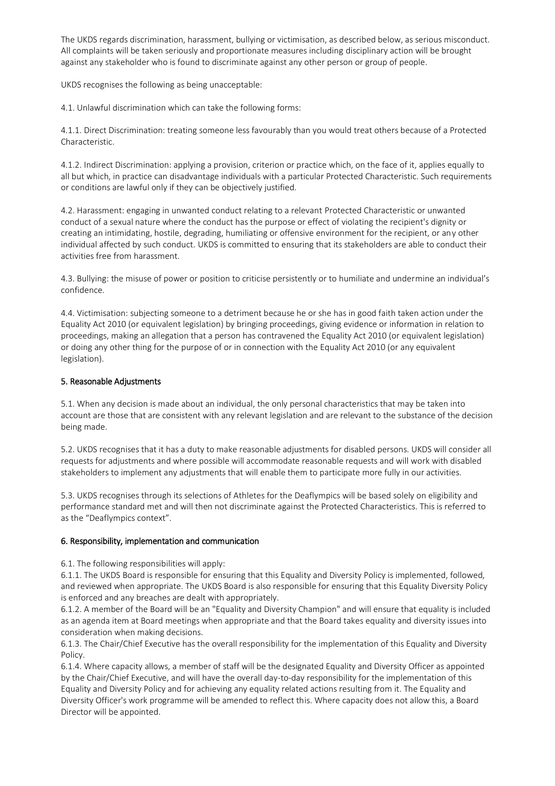The UKDS regards discrimination, harassment, bullying or victimisation, as described below, as serious misconduct. All complaints will be taken seriously and proportionate measures including disciplinary action will be brought against any stakeholder who is found to discriminate against any other person or group of people.

UKDS recognises the following as being unacceptable:

4.1. Unlawful discrimination which can take the following forms:

4.1.1. Direct Discrimination: treating someone less favourably than you would treat others because of a Protected Characteristic.

4.1.2. Indirect Discrimination: applying a provision, criterion or practice which, on the face of it, applies equally to all but which, in practice can disadvantage individuals with a particular Protected Characteristic. Such requirements or conditions are lawful only if they can be objectively justified.

4.2. Harassment: engaging in unwanted conduct relating to a relevant Protected Characteristic or unwanted conduct of a sexual nature where the conduct has the purpose or effect of violating the recipient's dignity or creating an intimidating, hostile, degrading, humiliating or offensive environment for the recipient, or any other individual affected by such conduct. UKDS is committed to ensuring that its stakeholders are able to conduct their activities free from harassment.

4.3. Bullying: the misuse of power or position to criticise persistently or to humiliate and undermine an individual's confidence.

4.4. Victimisation: subjecting someone to a detriment because he or she has in good faith taken action under the Equality Act 2010 (or equivalent legislation) by bringing proceedings, giving evidence or information in relation to proceedings, making an allegation that a person has contravened the Equality Act 2010 (or equivalent legislation) or doing any other thing for the purpose of or in connection with the Equality Act 2010 (or any equivalent legislation).

# 5. Reasonable Adjustments

5.1. When any decision is made about an individual, the only personal characteristics that may be taken into account are those that are consistent with any relevant legislation and are relevant to the substance of the decision being made.

5.2. UKDS recognises that it has a duty to make reasonable adjustments for disabled persons. UKDS will consider all requests for adjustments and where possible will accommodate reasonable requests and will work with disabled stakeholders to implement any adjustments that will enable them to participate more fully in our activities.

5.3. UKDS recognises through its selections of Athletes for the Deaflympics will be based solely on eligibility and performance standard met and will then not discriminate against the Protected Characteristics. This is referred to as the "Deaflympics context".

### 6. Responsibility, implementation and communication

6.1. The following responsibilities will apply:

6.1.1. The UKDS Board is responsible for ensuring that this Equality and Diversity Policy is implemented, followed, and reviewed when appropriate. The UKDS Board is also responsible for ensuring that this Equality Diversity Policy is enforced and any breaches are dealt with appropriately.

6.1.2. A member of the Board will be an "Equality and Diversity Champion" and will ensure that equality is included as an agenda item at Board meetings when appropriate and that the Board takes equality and diversity issues into consideration when making decisions.

6.1.3. The Chair/Chief Executive has the overall responsibility for the implementation of this Equality and Diversity Policy.

6.1.4. Where capacity allows, a member of staff will be the designated Equality and Diversity Officer as appointed by the Chair/Chief Executive, and will have the overall day-to-day responsibility for the implementation of this Equality and Diversity Policy and for achieving any equality related actions resulting from it. The Equality and Diversity Officer's work programme will be amended to reflect this. Where capacity does not allow this, a Board Director will be appointed.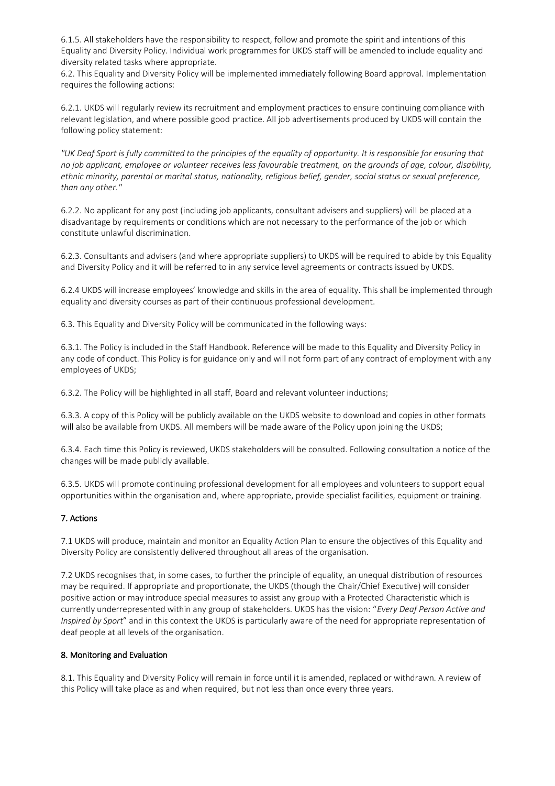6.1.5. All stakeholders have the responsibility to respect, follow and promote the spirit and intentions of this Equality and Diversity Policy. Individual work programmes for UKDS staff will be amended to include equality and diversity related tasks where appropriate.

6.2. This Equality and Diversity Policy will be implemented immediately following Board approval. Implementation requires the following actions:

6.2.1. UKDS will regularly review its recruitment and employment practices to ensure continuing compliance with relevant legislation, and where possible good practice. All job advertisements produced by UKDS will contain the following policy statement:

*"UK Deaf Sport is fully committed to the principles of the equality of opportunity. It is responsible for ensuring that no job applicant, employee or volunteer receives less favourable treatment, on the grounds of age, colour, disability, ethnic minority, parental or marital status, nationality, religious belief, gender, social status or sexual preference, than any other."* 

6.2.2. No applicant for any post (including job applicants, consultant advisers and suppliers) will be placed at a disadvantage by requirements or conditions which are not necessary to the performance of the job or which constitute unlawful discrimination.

6.2.3. Consultants and advisers (and where appropriate suppliers) to UKDS will be required to abide by this Equality and Diversity Policy and it will be referred to in any service level agreements or contracts issued by UKDS.

6.2.4 UKDS will increase employees' knowledge and skills in the area of equality. This shall be implemented through equality and diversity courses as part of their continuous professional development.

6.3. This Equality and Diversity Policy will be communicated in the following ways:

6.3.1. The Policy is included in the Staff Handbook. Reference will be made to this Equality and Diversity Policy in any code of conduct. This Policy is for guidance only and will not form part of any contract of employment with any employees of UKDS;

6.3.2. The Policy will be highlighted in all staff, Board and relevant volunteer inductions;

6.3.3. A copy of this Policy will be publicly available on the UKDS website to download and copies in other formats will also be available from UKDS. All members will be made aware of the Policy upon joining the UKDS;

6.3.4. Each time this Policy is reviewed, UKDS stakeholders will be consulted. Following consultation a notice of the changes will be made publicly available.

6.3.5. UKDS will promote continuing professional development for all employees and volunteers to support equal opportunities within the organisation and, where appropriate, provide specialist facilities, equipment or training.

# 7. Actions

7.1 UKDS will produce, maintain and monitor an Equality Action Plan to ensure the objectives of this Equality and Diversity Policy are consistently delivered throughout all areas of the organisation.

7.2 UKDS recognises that, in some cases, to further the principle of equality, an unequal distribution of resources may be required. If appropriate and proportionate, the UKDS (though the Chair/Chief Executive) will consider positive action or may introduce special measures to assist any group with a Protected Characteristic which is currently underrepresented within any group of stakeholders. UKDS has the vision: "*Every Deaf Person Active and Inspired by Sport*" and in this context the UKDS is particularly aware of the need for appropriate representation of deaf people at all levels of the organisation.

# 8. Monitoring and Evaluation

8.1. This Equality and Diversity Policy will remain in force until it is amended, replaced or withdrawn. A review of this Policy will take place as and when required, but not less than once every three years.